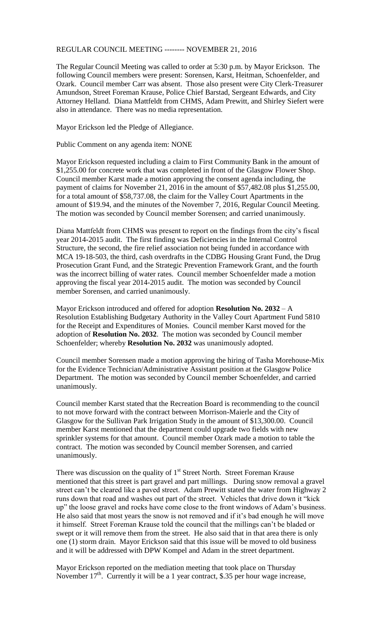## REGULAR COUNCIL MEETING -------- NOVEMBER 21, 2016

The Regular Council Meeting was called to order at 5:30 p.m. by Mayor Erickson. The following Council members were present: Sorensen, Karst, Heitman, Schoenfelder, and Ozark. Council member Carr was absent. Those also present were City Clerk-Treasurer Amundson, Street Foreman Krause, Police Chief Barstad, Sergeant Edwards, and City Attorney Helland. Diana Mattfeldt from CHMS, Adam Prewitt, and Shirley Siefert were also in attendance. There was no media representation.

Mayor Erickson led the Pledge of Allegiance.

Public Comment on any agenda item: NONE

Mayor Erickson requested including a claim to First Community Bank in the amount of \$1,255.00 for concrete work that was completed in front of the Glasgow Flower Shop. Council member Karst made a motion approving the consent agenda including, the payment of claims for November 21, 2016 in the amount of \$57,482.08 plus \$1,255.00, for a total amount of \$58,737.08, the claim for the Valley Court Apartments in the amount of \$19.94, and the minutes of the November 7, 2016, Regular Council Meeting. The motion was seconded by Council member Sorensen; and carried unanimously.

Diana Mattfeldt from CHMS was present to report on the findings from the city's fiscal year 2014-2015 audit. The first finding was Deficiencies in the Internal Control Structure, the second, the fire relief association not being funded in accordance with MCA 19-18-503, the third, cash overdrafts in the CDBG Housing Grant Fund, the Drug Prosecution Grant Fund, and the Strategic Prevention Framework Grant, and the fourth was the incorrect billing of water rates. Council member Schoenfelder made a motion approving the fiscal year 2014-2015 audit. The motion was seconded by Council member Sorensen, and carried unanimously.

Mayor Erickson introduced and offered for adoption **Resolution No. 2032** – A Resolution Establishing Budgetary Authority in the Valley Court Apartment Fund 5810 for the Receipt and Expenditures of Monies. Council member Karst moved for the adoption of **Resolution No. 2032**. The motion was seconded by Council member Schoenfelder; whereby **Resolution No. 2032** was unanimously adopted.

Council member Sorensen made a motion approving the hiring of Tasha Morehouse-Mix for the Evidence Technician/Administrative Assistant position at the Glasgow Police Department. The motion was seconded by Council member Schoenfelder, and carried unanimously.

Council member Karst stated that the Recreation Board is recommending to the council to not move forward with the contract between Morrison-Maierle and the City of Glasgow for the Sullivan Park Irrigation Study in the amount of \$13,300.00. Council member Karst mentioned that the department could upgrade two fields with new sprinkler systems for that amount. Council member Ozark made a motion to table the contract. The motion was seconded by Council member Sorensen, and carried unanimously.

There was discussion on the quality of  $1<sup>st</sup>$  Street North. Street Foreman Krause mentioned that this street is part gravel and part millings. During snow removal a gravel street can't be cleared like a paved street. Adam Prewitt stated the water from Highway 2 runs down that road and washes out part of the street. Vehicles that drive down it "kick up" the loose gravel and rocks have come close to the front windows of Adam's business. He also said that most years the snow is not removed and if it's bad enough he will move it himself. Street Foreman Krause told the council that the millings can't be bladed or swept or it will remove them from the street. He also said that in that area there is only one (1) storm drain. Mayor Erickson said that this issue will be moved to old business and it will be addressed with DPW Kompel and Adam in the street department.

Mayor Erickson reported on the mediation meeting that took place on Thursday November  $17<sup>th</sup>$ . Currently it will be a 1 year contract, \$.35 per hour wage increase,